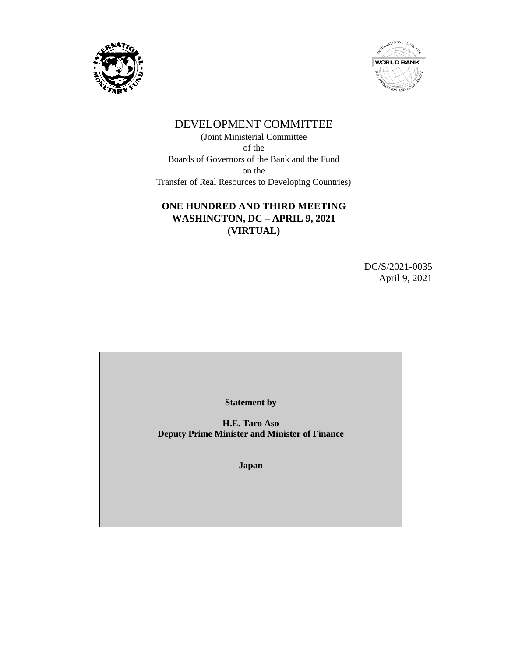



# DEVELOPMENT COMMITTEE

(Joint Ministerial Committee of the Boards of Governors of the Bank and the Fund on the Transfer of Real Resources to Developing Countries)

## **ONE HUNDRED AND THIRD MEETING WASHINGTON, DC – APRIL 9, 2021 (VIRTUAL)**

DC/S/2021-0035 April 9, 2021

**Statement by**

**H.E. Taro Aso Deputy Prime Minister and Minister of Finance**

**Japan**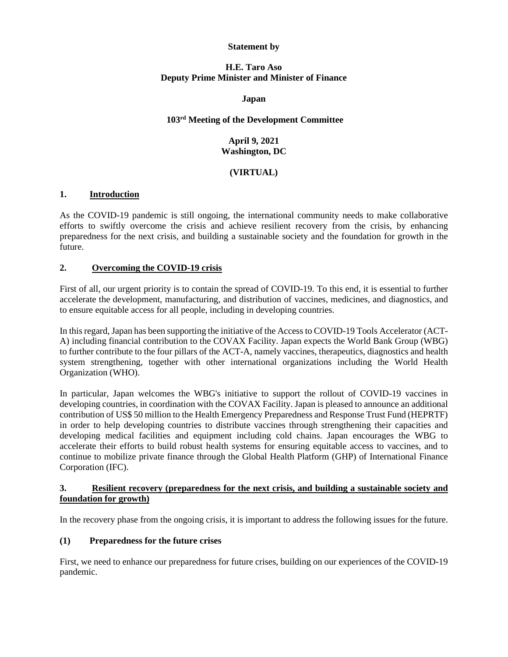#### **Statement by**

#### **H.E. Taro Aso Deputy Prime Minister and Minister of Finance**

#### **Japan**

#### **103rd Meeting of the Development Committee**

## **April 9, 2021 Washington, DC**

#### **(VIRTUAL)**

#### **1. Introduction**

As the COVID-19 pandemic is still ongoing, the international community needs to make collaborative efforts to swiftly overcome the crisis and achieve resilient recovery from the crisis, by enhancing preparedness for the next crisis, and building a sustainable society and the foundation for growth in the future.

#### **2. Overcoming the COVID-19 crisis**

First of all, our urgent priority is to contain the spread of COVID-19. To this end, it is essential to further accelerate the development, manufacturing, and distribution of vaccines, medicines, and diagnostics, and to ensure equitable access for all people, including in developing countries.

In this regard, Japan has been supporting the initiative of the Access to COVID-19 Tools Accelerator (ACT-A) including financial contribution to the COVAX Facility. Japan expects the World Bank Group (WBG) to further contribute to the four pillars of the ACT-A, namely vaccines, therapeutics, diagnostics and health system strengthening, together with other international organizations including the World Health Organization (WHO).

In particular, Japan welcomes the WBG's initiative to support the rollout of COVID-19 vaccines in developing countries, in coordination with the COVAX Facility. Japan is pleased to announce an additional contribution of US\$ 50 million to the Health Emergency Preparedness and Response Trust Fund (HEPRTF) in order to help developing countries to distribute vaccines through strengthening their capacities and developing medical facilities and equipment including cold chains. Japan encourages the WBG to accelerate their efforts to build robust health systems for ensuring equitable access to vaccines, and to continue to mobilize private finance through the Global Health Platform (GHP) of International Finance Corporation (IFC).

#### **3. Resilient recovery (preparedness for the next crisis, and building a sustainable society and foundation for growth)**

In the recovery phase from the ongoing crisis, it is important to address the following issues for the future.

#### **(1) Preparedness for the future crises**

First, we need to enhance our preparedness for future crises, building on our experiences of the COVID-19 pandemic.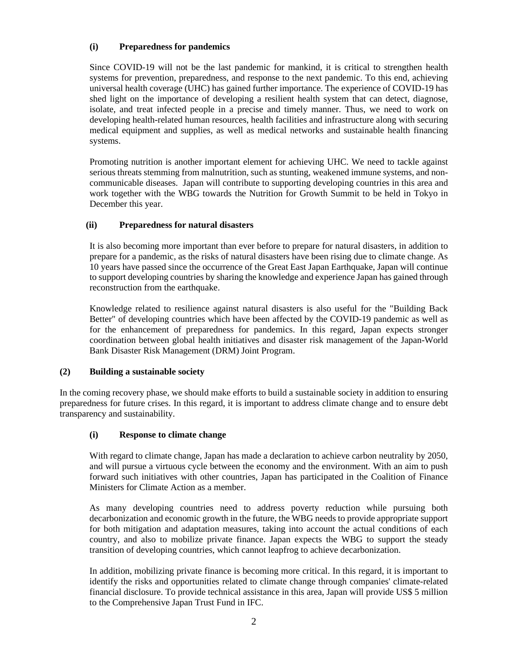#### **(i) Preparedness for pandemics**

Since COVID-19 will not be the last pandemic for mankind, it is critical to strengthen health systems for prevention, preparedness, and response to the next pandemic. To this end, achieving universal health coverage (UHC) has gained further importance. The experience of COVID-19 has shed light on the importance of developing a resilient health system that can detect, diagnose, isolate, and treat infected people in a precise and timely manner. Thus, we need to work on developing health-related human resources, health facilities and infrastructure along with securing medical equipment and supplies, as well as medical networks and sustainable health financing systems.

Promoting nutrition is another important element for achieving UHC. We need to tackle against serious threats stemming from malnutrition, such as stunting, weakened immune systems, and noncommunicable diseases. Japan will contribute to supporting developing countries in this area and work together with the WBG towards the Nutrition for Growth Summit to be held in Tokyo in December this year.

#### **(ii) Preparedness for natural disasters**

It is also becoming more important than ever before to prepare for natural disasters, in addition to prepare for a pandemic, as the risks of natural disasters have been rising due to climate change. As 10 years have passed since the occurrence of the Great East Japan Earthquake, Japan will continue to support developing countries by sharing the knowledge and experience Japan has gained through reconstruction from the earthquake.

Knowledge related to resilience against natural disasters is also useful for the "Building Back Better" of developing countries which have been affected by the COVID-19 pandemic as well as for the enhancement of preparedness for pandemics. In this regard, Japan expects stronger coordination between global health initiatives and disaster risk management of the Japan-World Bank Disaster Risk Management (DRM) Joint Program.

#### **(2) Building a sustainable society**

In the coming recovery phase, we should make efforts to build a sustainable society in addition to ensuring preparedness for future crises. In this regard, it is important to address climate change and to ensure debt transparency and sustainability.

#### **(i) Response to climate change**

With regard to climate change, Japan has made a declaration to achieve carbon neutrality by 2050, and will pursue a virtuous cycle between the economy and the environment. With an aim to push forward such initiatives with other countries, Japan has participated in the Coalition of Finance Ministers for Climate Action as a member.

As many developing countries need to address poverty reduction while pursuing both decarbonization and economic growth in the future, the WBG needs to provide appropriate support for both mitigation and adaptation measures, taking into account the actual conditions of each country, and also to mobilize private finance. Japan expects the WBG to support the steady transition of developing countries, which cannot leapfrog to achieve decarbonization.

In addition, mobilizing private finance is becoming more critical. In this regard, it is important to identify the risks and opportunities related to climate change through companies' climate-related financial disclosure. To provide technical assistance in this area, Japan will provide US\$ 5 million to the Comprehensive Japan Trust Fund in IFC.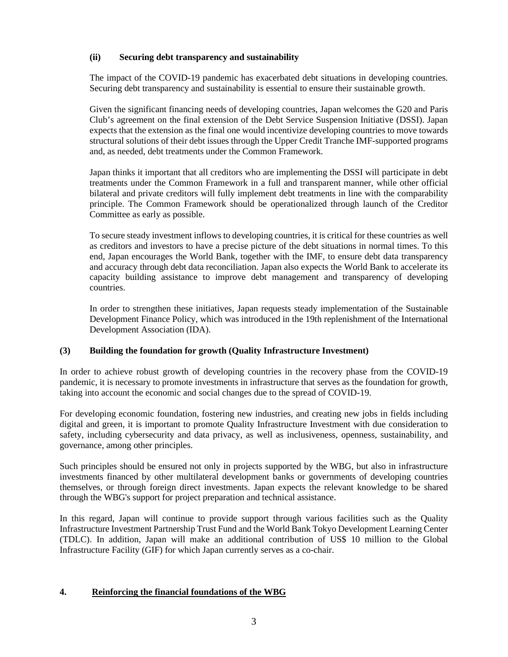#### **(ii) Securing debt transparency and sustainability**

The impact of the COVID-19 pandemic has exacerbated debt situations in developing countries. Securing debt transparency and sustainability is essential to ensure their sustainable growth.

Given the significant financing needs of developing countries, Japan welcomes the G20 and Paris Club's agreement on the final extension of the Debt Service Suspension Initiative (DSSI). Japan expects that the extension as the final one would incentivize developing countries to move towards structural solutions of their debt issues through the Upper Credit Tranche IMF-supported programs and, as needed, debt treatments under the Common Framework.

Japan thinks it important that all creditors who are implementing the DSSI will participate in debt treatments under the Common Framework in a full and transparent manner, while other official bilateral and private creditors will fully implement debt treatments in line with the comparability principle. The Common Framework should be operationalized through launch of the Creditor Committee as early as possible.

To secure steady investment inflows to developing countries, it is critical for these countries as well as creditors and investors to have a precise picture of the debt situations in normal times. To this end, Japan encourages the World Bank, together with the IMF, to ensure debt data transparency and accuracy through debt data reconciliation. Japan also expects the World Bank to accelerate its capacity building assistance to improve debt management and transparency of developing countries.

In order to strengthen these initiatives, Japan requests steady implementation of the Sustainable Development Finance Policy, which was introduced in the 19th replenishment of the International Development Association (IDA).

## **(3) Building the foundation for growth (Quality Infrastructure Investment)**

In order to achieve robust growth of developing countries in the recovery phase from the COVID-19 pandemic, it is necessary to promote investments in infrastructure that serves as the foundation for growth, taking into account the economic and social changes due to the spread of COVID-19.

For developing economic foundation, fostering new industries, and creating new jobs in fields including digital and green, it is important to promote Quality Infrastructure Investment with due consideration to safety, including cybersecurity and data privacy, as well as inclusiveness, openness, sustainability, and governance, among other principles.

Such principles should be ensured not only in projects supported by the WBG, but also in infrastructure investments financed by other multilateral development banks or governments of developing countries themselves, or through foreign direct investments. Japan expects the relevant knowledge to be shared through the WBG's support for project preparation and technical assistance.

In this regard, Japan will continue to provide support through various facilities such as the Quality Infrastructure Investment Partnership Trust Fund and the World Bank Tokyo Development Learning Center (TDLC). In addition, Japan will make an additional contribution of US\$ 10 million to the Global Infrastructure Facility (GIF) for which Japan currently serves as a co-chair.

#### **4. Reinforcing the financial foundations of the WBG**